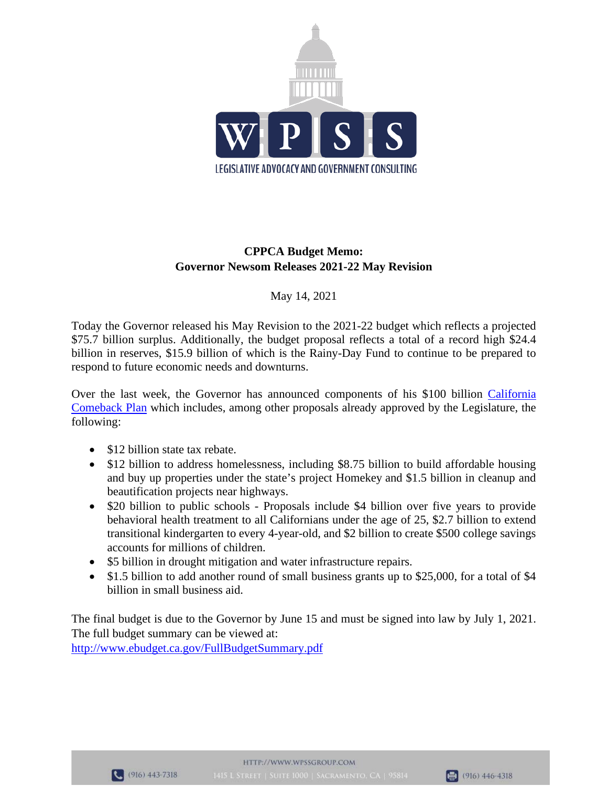

# **CPPCA Budget Memo: Governor Newsom Releases 2021-22 May Revision**

## May 14, 2021

Today the Governor released his May Revision to the 2021-22 budget which reflects a projected \$75.7 billion surplus. Additionally, the budget proposal reflects a total of a record high \$24.4 billion in reserves, \$15.9 billion of which is the Rainy-Day Fund to continue to be prepared to respond to future economic needs and downturns.

Over the last week, the Governor has announced components of his \$100 billion [California](https://www.gov.ca.gov/wp-content/uploads/2021/05/Economic-Recovery-Package-Factsheet.pdf)  [Comeback Plan](https://www.gov.ca.gov/wp-content/uploads/2021/05/Economic-Recovery-Package-Factsheet.pdf) which includes, among other proposals already approved by the Legislature, the following:

- \$12 billion state tax rebate.
- \$12 billion to address homelessness, including \$8.75 billion to build affordable housing and buy up properties under the state's project Homekey and \$1.5 billion in cleanup and beautification projects near highways.
- \$20 billion to public schools Proposals include \$4 billion over five years to provide behavioral health treatment to all Californians under the age of 25, \$2.7 billion to extend transitional kindergarten to every 4-year-old, and \$2 billion to create \$500 college savings accounts for millions of children.
- \$5 billion in drought mitigation and water infrastructure repairs.
- \$1.5 billion to add another round of small business grants up to \$25,000, for a total of \$4 billion in small business aid.

The final budget is due to the Governor by June 15 and must be signed into law by July 1, 2021. The full budget summary can be viewed at:

<http://www.ebudget.ca.gov/FullBudgetSummary.pdf>



$$
\boxed{6} (916) 446-4318
$$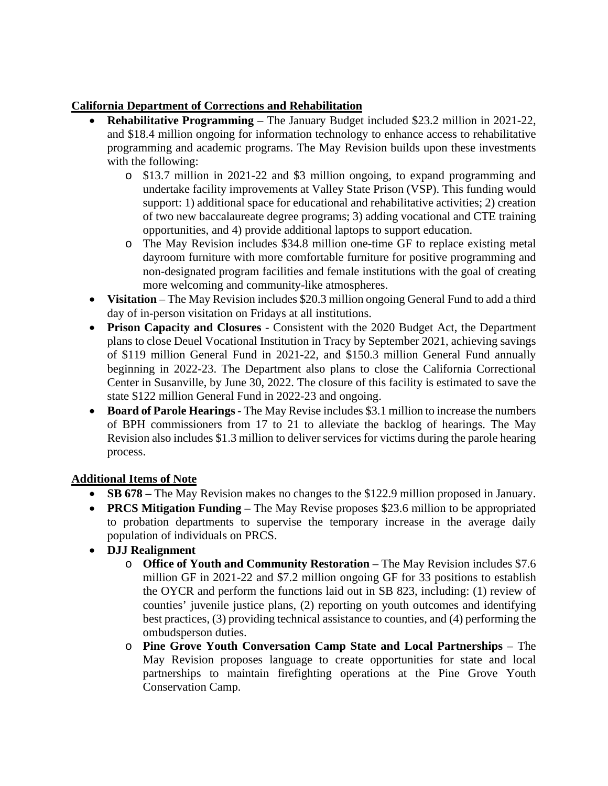# **California Department of Corrections and Rehabilitation**

- **Rehabilitative Programming**  The January Budget included \$23.2 million in 2021-22, and \$18.4 million ongoing for information technology to enhance access to rehabilitative programming and academic programs. The May Revision builds upon these investments with the following:
	- o \$13.7 million in 2021-22 and \$3 million ongoing, to expand programming and undertake facility improvements at Valley State Prison (VSP). This funding would support: 1) additional space for educational and rehabilitative activities; 2) creation of two new baccalaureate degree programs; 3) adding vocational and CTE training opportunities, and 4) provide additional laptops to support education.
	- o The May Revision includes \$34.8 million one-time GF to replace existing metal dayroom furniture with more comfortable furniture for positive programming and non-designated program facilities and female institutions with the goal of creating more welcoming and community-like atmospheres.
- Visitation The May Revision includes \$20.3 million ongoing General Fund to add a third day of in-person visitation on Fridays at all institutions.
- **Prison Capacity and Closures** Consistent with the 2020 Budget Act, the Department plans to close Deuel Vocational Institution in Tracy by September 2021, achieving savings of \$119 million General Fund in 2021-22, and \$150.3 million General Fund annually beginning in 2022-23. The Department also plans to close the California Correctional Center in Susanville, by June 30, 2022. The closure of this facility is estimated to save the state \$122 million General Fund in 2022-23 and ongoing.
- **Board of Parole Hearings**  The May Revise includes \$3.1 million to increase the numbers of BPH commissioners from 17 to 21 to alleviate the backlog of hearings. The May Revision also includes \$1.3 million to deliver services for victims during the parole hearing process.

## **Additional Items of Note**

- **SB 678 –** The May Revision makes no changes to the \$122.9 million proposed in January.
- **PRCS Mitigation Funding** The May Revise proposes \$23.6 million to be appropriated to probation departments to supervise the temporary increase in the average daily population of individuals on PRCS.
- **DJJ Realignment** 
	- o **Office of Youth and Community Restoration**  The May Revision includes \$7.6 million GF in 2021-22 and \$7.2 million ongoing GF for 33 positions to establish the OYCR and perform the functions laid out in SB 823, including: (1) review of counties' juvenile justice plans, (2) reporting on youth outcomes and identifying best practices, (3) providing technical assistance to counties, and (4) performing the ombudsperson duties.
	- o **Pine Grove Youth Conversation Camp State and Local Partnerships**  The May Revision proposes language to create opportunities for state and local partnerships to maintain firefighting operations at the Pine Grove Youth Conservation Camp.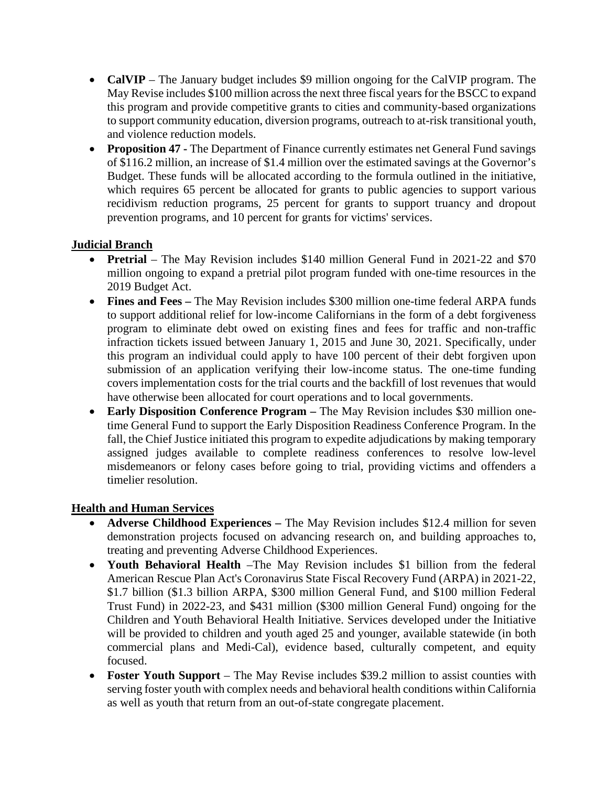- **CalVIP** The January budget includes \$9 million ongoing for the CalVIP program. The May Revise includes \$100 million across the next three fiscal years for the BSCC to expand this program and provide competitive grants to cities and community-based organizations to support community education, diversion programs, outreach to at-risk transitional youth, and violence reduction models.
- **Proposition 47 -** The Department of Finance currently estimates net General Fund savings of \$116.2 million, an increase of \$1.4 million over the estimated savings at the Governor's Budget. These funds will be allocated according to the formula outlined in the initiative, which requires 65 percent be allocated for grants to public agencies to support various recidivism reduction programs, 25 percent for grants to support truancy and dropout prevention programs, and 10 percent for grants for victims' services.

# **Judicial Branch**

- **Pretrial** The May Revision includes \$140 million General Fund in 2021-22 and \$70 million ongoing to expand a pretrial pilot program funded with one-time resources in the 2019 Budget Act.
- **Fines and Fees –** The May Revision includes \$300 million one-time federal ARPA funds to support additional relief for low-income Californians in the form of a debt forgiveness program to eliminate debt owed on existing fines and fees for traffic and non-traffic infraction tickets issued between January 1, 2015 and June 30, 2021. Specifically, under this program an individual could apply to have 100 percent of their debt forgiven upon submission of an application verifying their low-income status. The one-time funding covers implementation costs for the trial courts and the backfill of lost revenues that would have otherwise been allocated for court operations and to local governments.
- **Early Disposition Conference Program –** The May Revision includes \$30 million onetime General Fund to support the Early Disposition Readiness Conference Program. In the fall, the Chief Justice initiated this program to expedite adjudications by making temporary assigned judges available to complete readiness conferences to resolve low-level misdemeanors or felony cases before going to trial, providing victims and offenders a timelier resolution.

## **Health and Human Services**

- **Adverse Childhood Experiences –** The May Revision includes \$12.4 million for seven demonstration projects focused on advancing research on, and building approaches to, treating and preventing Adverse Childhood Experiences.
- **Youth Behavioral Health** –The May Revision includes \$1 billion from the federal American Rescue Plan Act's Coronavirus State Fiscal Recovery Fund (ARPA) in 2021-22, \$1.7 billion (\$1.3 billion ARPA, \$300 million General Fund, and \$100 million Federal Trust Fund) in 2022-23, and \$431 million (\$300 million General Fund) ongoing for the Children and Youth Behavioral Health Initiative. Services developed under the Initiative will be provided to children and youth aged 25 and younger, available statewide (in both commercial plans and Medi-Cal), evidence based, culturally competent, and equity focused.
- **Foster Youth Support** The May Revise includes \$39.2 million to assist counties with serving foster youth with complex needs and behavioral health conditions within California as well as youth that return from an out-of-state congregate placement.